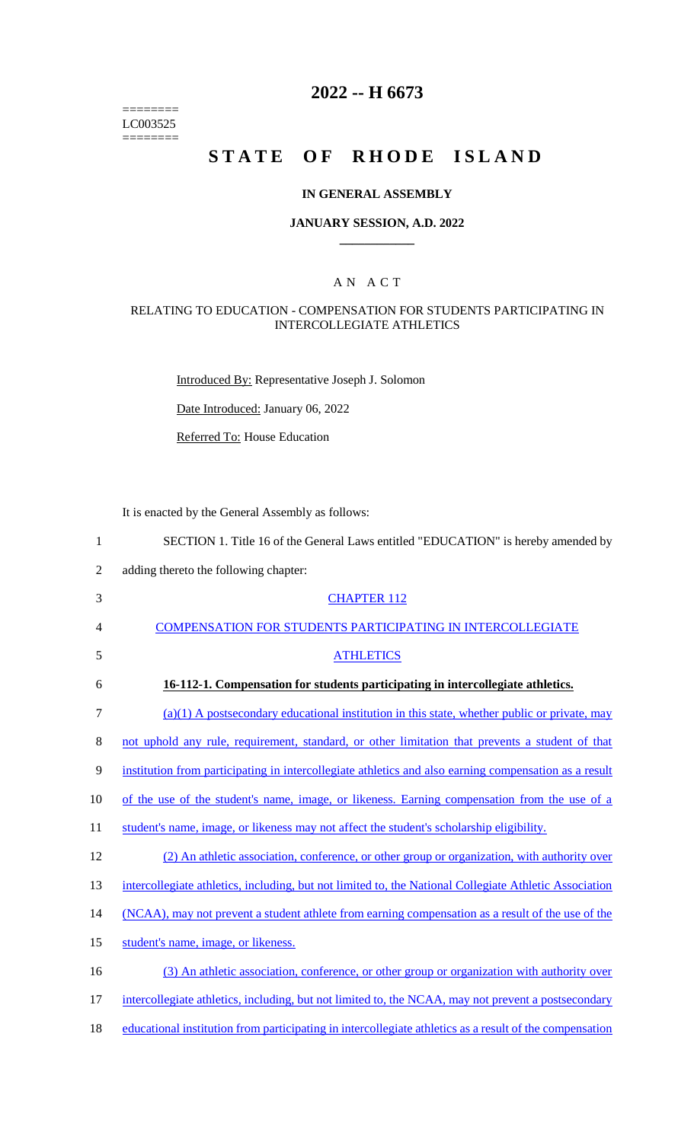======== LC003525 ========

# **2022 -- H 6673**

# **STATE OF RHODE ISLAND**

## **IN GENERAL ASSEMBLY**

#### **JANUARY SESSION, A.D. 2022 \_\_\_\_\_\_\_\_\_\_\_\_**

## A N A C T

#### RELATING TO EDUCATION - COMPENSATION FOR STUDENTS PARTICIPATING IN INTERCOLLEGIATE ATHLETICS

Introduced By: Representative Joseph J. Solomon

Date Introduced: January 06, 2022

Referred To: House Education

It is enacted by the General Assembly as follows:

| 1              | SECTION 1. Title 16 of the General Laws entitled "EDUCATION" is hereby amended by                       |
|----------------|---------------------------------------------------------------------------------------------------------|
| $\overline{2}$ | adding thereto the following chapter:                                                                   |
| 3              | <b>CHAPTER 112</b>                                                                                      |
| 4              | <b>COMPENSATION FOR STUDENTS PARTICIPATING IN INTERCOLLEGIATE</b>                                       |
| 5              | <b>ATHLETICS</b>                                                                                        |
| 6              | 16-112-1. Compensation for students participating in intercollegiate athletics.                         |
| $\tau$         | $(a)(1)$ A postsecondary educational institution in this state, whether public or private, may          |
| 8              | not uphold any rule, requirement, standard, or other limitation that prevents a student of that         |
| 9              | institution from participating in intercollegiate athletics and also earning compensation as a result   |
| 10             | of the use of the student's name, image, or likeness. Earning compensation from the use of a            |
| 11             | student's name, image, or likeness may not affect the student's scholarship eligibility.                |
| 12             | (2) An athletic association, conference, or other group or organization, with authority over            |
| 13             | intercollegiate athletics, including, but not limited to, the National Collegiate Athletic Association  |
| 14             | (NCAA), may not prevent a student athlete from earning compensation as a result of the use of the       |
| 15             | student's name, image, or likeness.                                                                     |
| 16             | (3) An athletic association, conference, or other group or organization with authority over             |
| 17             | intercollegiate athletics, including, but not limited to, the NCAA, may not prevent a postsecondary     |
| 18             | educational institution from participating in intercollegiate athletics as a result of the compensation |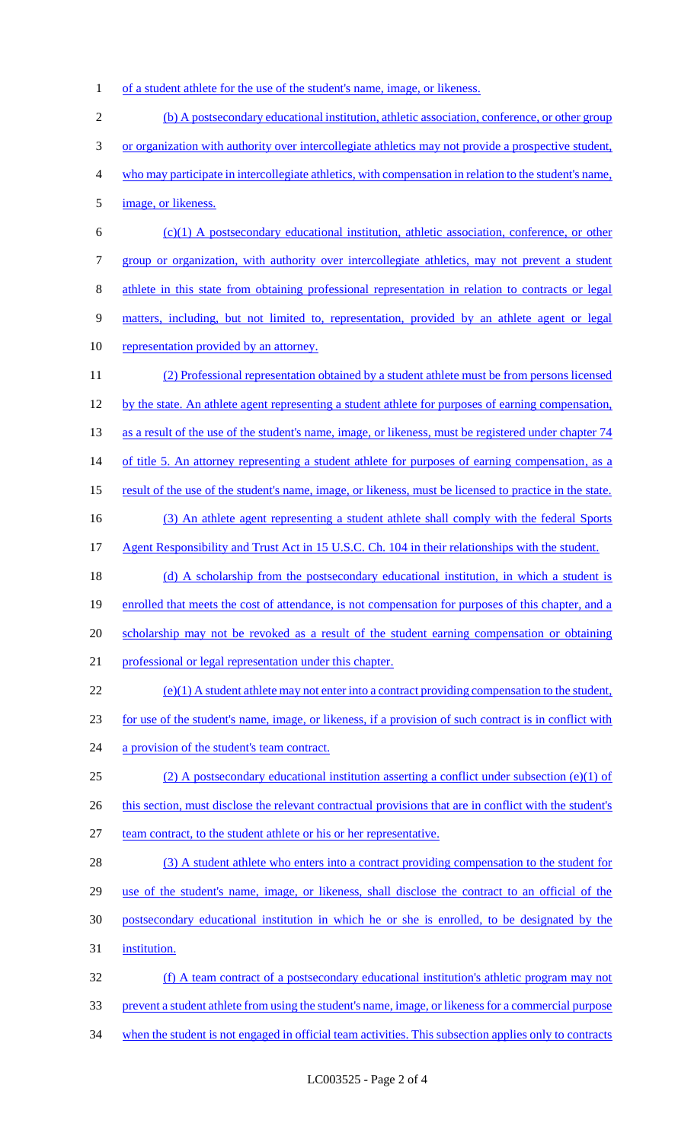1 of a student athlete for the use of the student's name, image, or likeness.

| $\overline{2}$ | (b) A postsecondary educational institution, athletic association, conference, or other group           |
|----------------|---------------------------------------------------------------------------------------------------------|
| 3              | or organization with authority over intercollegiate athletics may not provide a prospective student,    |
| $\overline{4}$ | who may participate in intercollegiate athletics, with compensation in relation to the student's name,  |
| 5              | image, or likeness.                                                                                     |
| 6              | $(c)(1)$ A postsecondary educational institution, athletic association, conference, or other            |
| $\tau$         | group or organization, with authority over intercollegiate athletics, may not prevent a student         |
| $8\,$          | athlete in this state from obtaining professional representation in relation to contracts or legal      |
| $\mathbf{9}$   | matters, including, but not limited to, representation, provided by an athlete agent or legal           |
| 10             | representation provided by an attorney.                                                                 |
| 11             | (2) Professional representation obtained by a student athlete must be from persons licensed             |
| 12             | by the state. An athlete agent representing a student athlete for purposes of earning compensation,     |
| 13             | as a result of the use of the student's name, image, or likeness, must be registered under chapter 74   |
| 14             | of title 5. An attorney representing a student athlete for purposes of earning compensation, as a       |
| 15             | result of the use of the student's name, image, or likeness, must be licensed to practice in the state. |
| 16             | (3) An athlete agent representing a student athlete shall comply with the federal Sports                |
| 17             | Agent Responsibility and Trust Act in 15 U.S.C. Ch. 104 in their relationships with the student.        |
| 18             | (d) A scholarship from the postsecondary educational institution, in which a student is                 |
| 19             | enrolled that meets the cost of attendance, is not compensation for purposes of this chapter, and a     |
| 20             | scholarship may not be revoked as a result of the student earning compensation or obtaining             |
| 21             | professional or legal representation under this chapter.                                                |
| 22             | $(e)(1)$ A student athlete may not enter into a contract providing compensation to the student,         |
| 23             | for use of the student's name, image, or likeness, if a provision of such contract is in conflict with  |
| 24             | a provision of the student's team contract.                                                             |
| 25             | (2) A postsecondary educational institution asserting a conflict under subsection (e)(1) of             |
| 26             | this section, must disclose the relevant contractual provisions that are in conflict with the student's |
| 27             | team contract, to the student athlete or his or her representative.                                     |
| 28             | (3) A student athlete who enters into a contract providing compensation to the student for              |
| 29             | use of the student's name, image, or likeness, shall disclose the contract to an official of the        |
| 30             | postsecondary educational institution in which he or she is enrolled, to be designated by the           |
| 31             | institution.                                                                                            |
| 32             | (f) A team contract of a postsecondary educational institution's athletic program may not               |
| 33             | prevent a student athlete from using the student's name, image, or likeness for a commercial purpose    |
| 34             | when the student is not engaged in official team activities. This subsection applies only to contracts  |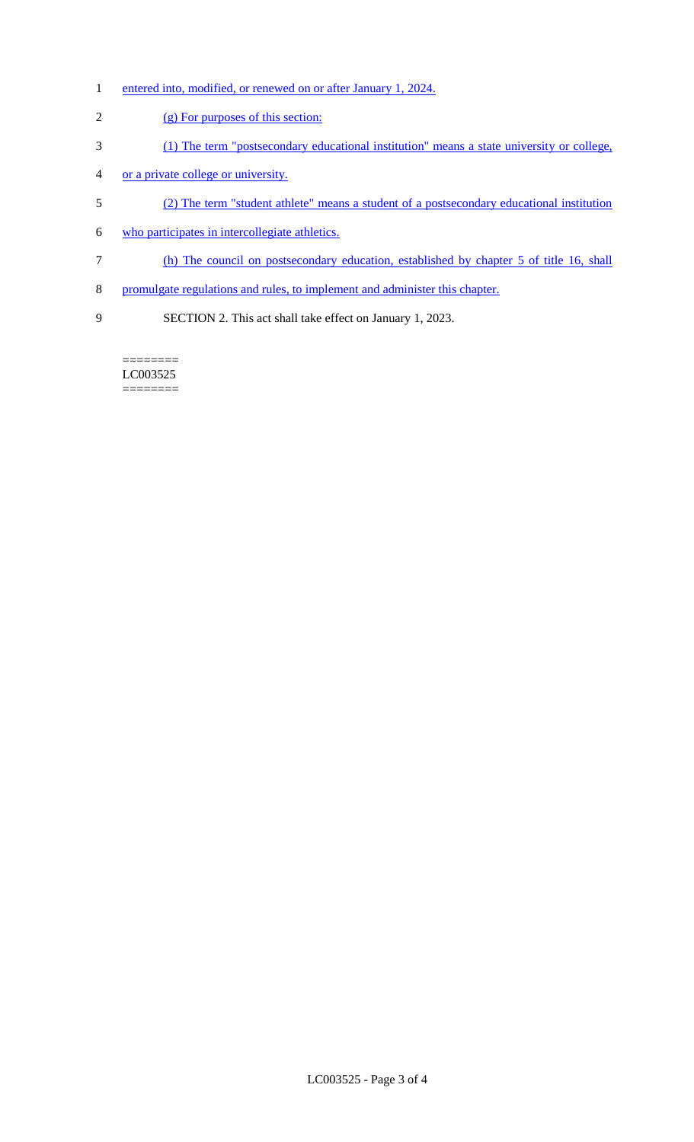- 1 entered into, modified, or renewed on or after January 1, 2024.
- (g) For purposes of this section:
- (1) The term "postsecondary educational institution" means a state university or college,
- or a private college or university.
- (2) The term "student athlete" means a student of a postsecondary educational institution
- who participates in intercollegiate athletics.
- (h) The council on postsecondary education, established by chapter 5 of title 16, shall
- promulgate regulations and rules, to implement and administer this chapter.
- SECTION 2. This act shall take effect on January 1, 2023.

======== LC003525 ========